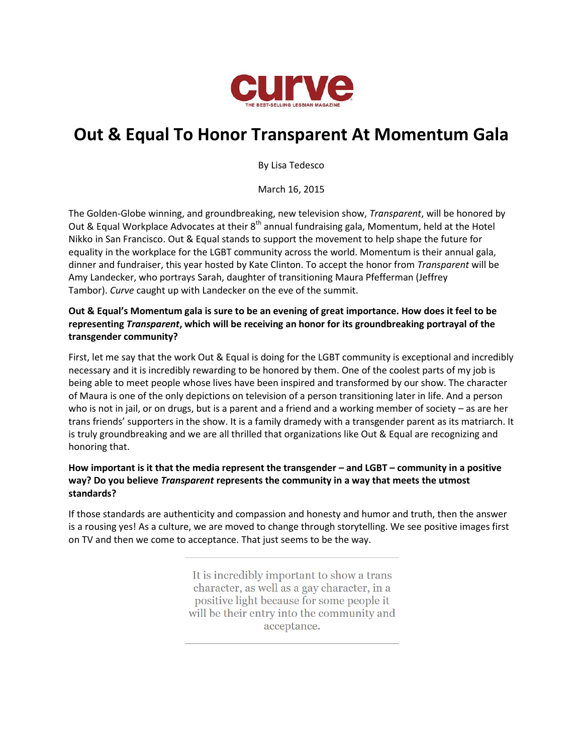

# **Out & Equal To Honor Transparent At Momentum Gala**

By Lisa Tedesco

March 16, 2015

The Golden-Globe winning, and groundbreaking, new television show, *Transparent*, will be honored by Out & Equal Workplace Advocates at their 8<sup>th</sup> annual fundraising gala, Momentum, held at the Hotel Nikko in San Francisco. Out & Equal stands to support the movement to help shape the future for equality in the workplace for the LGBT community across the world. Momentum is their annual gala, dinner and fundraiser, this year hosted by Kate Clinton. To accept the honor from *Transparent* will be Amy Landecker, who portrays Sarah, daughter of transitioning Maura Pfefferman (Jeffrey Tambor). *Curve* caught up with Landecker on the eve of the summit.

### **Out & Equal's Momentum gala is sure to be an evening of great importance. How does it feel to be representing** *Transparent***, which will be receiving an honor for its groundbreaking portrayal of the transgender community?**

First, let me say that the work Out & Equal is doing for the LGBT community is exceptional and incredibly necessary and it is incredibly rewarding to be honored by them. One of the coolest parts of my job is being able to meet people whose lives have been inspired and transformed by our show. The character of Maura is one of the only depictions on television of a person transitioning later in life. And a person who is not in jail, or on drugs, but is a parent and a friend and a working member of society – as are her trans friends' supporters in the show. It is a family dramedy with a transgender parent as its matriarch. It is truly groundbreaking and we are all thrilled that organizations like Out & Equal are recognizing and honoring that.

# **How important is it that the media represent the transgender – and LGBT – community in a positive way? Do you believe** *Transparent* **represents the community in a way that meets the utmost standards?**

If those standards are authenticity and compassion and honesty and humor and truth, then the answer is a rousing yes! As a culture, we are moved to change through storytelling. We see positive images first on TV and then we come to acceptance. That just seems to be the way.

> It is incredibly important to show a trans character, as well as a gay character, in a positive light because for some people it will be their entry into the community and acceptance.